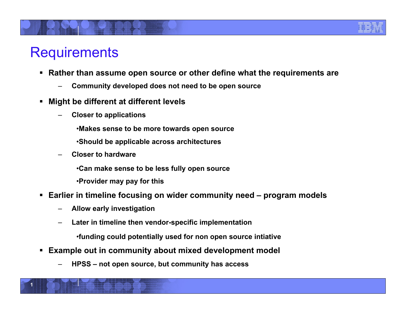

## **Requirements**

 $1$ 

- **Rather than assume open source or other define what the requirements are** 
	- **Community developed does not need to be open source**
- **Might be different at different levels** 
	- **Closer to applications** 
		- •**Makes sense to be more towards open source**
		- •**Should be applicable across architectures**
	- **Closer to hardware** 
		- •**Can make sense to be less fully open source**
		- •**Provider may pay for this**
- **Earlier in timeline focusing on wider community need program models** 
	- **Allow early investigation**
	- **Later in timeline then vendor-specific implementation** 
		- •**funding could potentially used for non open source intiative**
- **Example out in community about mixed development model** 
	- **HPSS not open source, but community has access**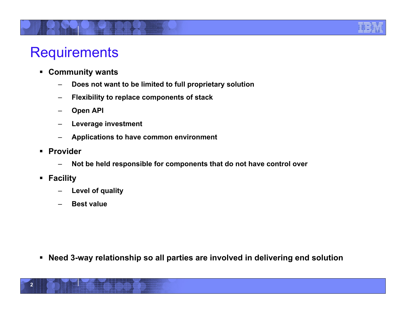## **Requirements**

- **Community wants** 
	- **Does not want to be limited to full proprietary solution**
	- **Flexibility to replace components of stack**
	- **Open API**
	- **Leverage investment**
	- **Applications to have common environment**
- **Provider** 
	- **Not be held responsible for components that do not have control over**
- **Facility** 
	- **Level of quality**
	- **Best value**

**Need 3-way relationship so all parties are involved in delivering end solution**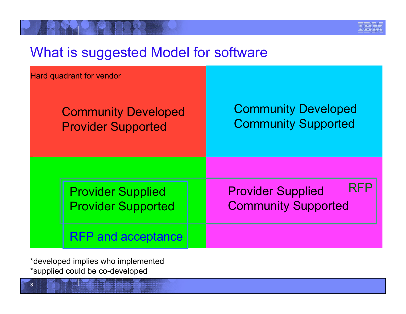## What is suggested Model for software

| <b>Hard quadrant for vendor</b><br><b>Community Developed</b><br><b>Provider Supported</b> | <b>Community Developed</b><br><b>Community Supported</b> |
|--------------------------------------------------------------------------------------------|----------------------------------------------------------|
| <b>Provider Supplied</b>                                                                   | <b>RFP</b>                                               |
| <b>Provider Supported</b>                                                                  | <b>Provider Supplied</b>                                 |
| <b>RFP and acceptance</b>                                                                  | <b>Community Supported</b>                               |

\*developed implies who implemented \*supplied could be co-developed

**3**